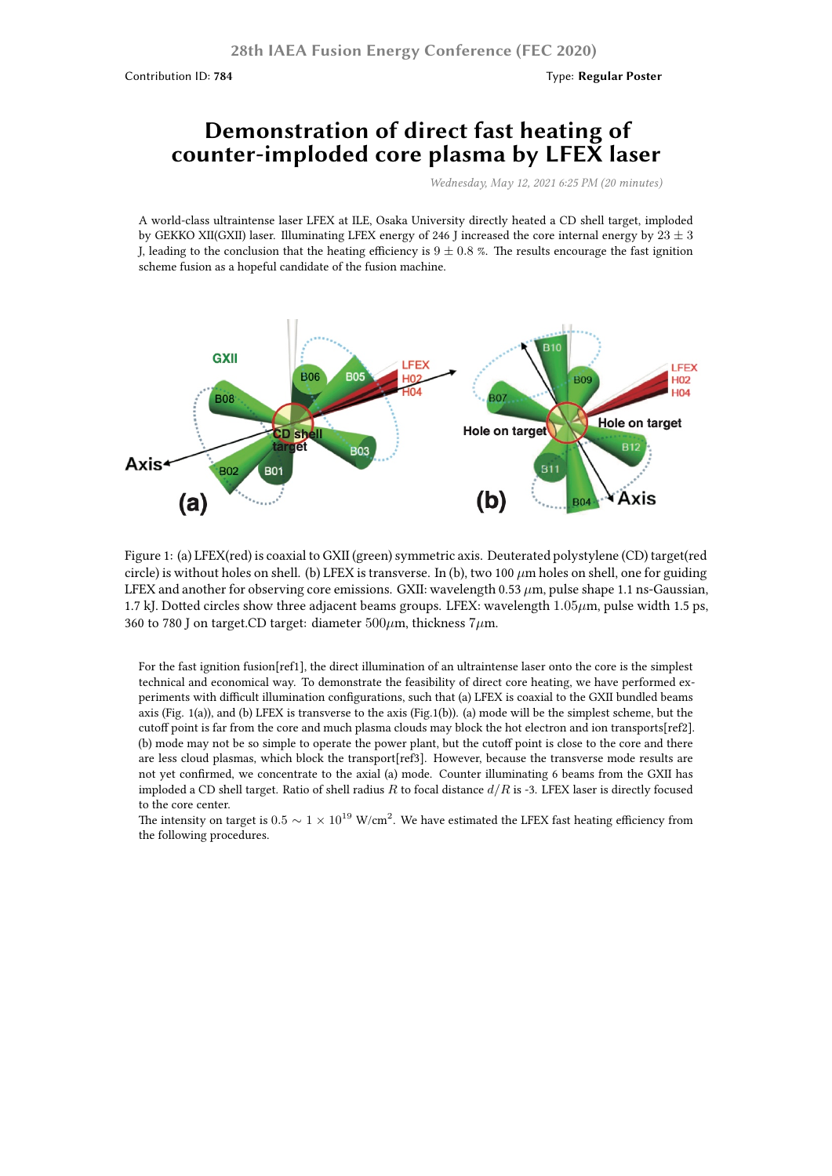## **Demonstration of direct fast heating of counter-imploded core plasma by LFEX laser**

*Wednesday, May 12, 2021 6:25 PM (20 minutes)*

A world-class ultraintense laser LFEX at ILE, Osaka University directly heated a CD shell target, imploded by GEKKO XII(GXII) laser. Illuminating LFEX energy of 246 J increased the core internal energy by 23 *±* 3 J, leading to the conclusion that the heating efficiency is  $9 \pm 0.8$  %. The results encourage the fast ignition scheme fusion as a hopeful candidate of the fusion machine.



Figure 1: (a) LFEX(red) is coaxial to GXII (green) symmetric axis. Deuterated polystylene (CD) target(red circle) is without holes on shell. (b) LFEX is transverse. In (b), two 100 *µ*m holes on shell, one for guiding LFEX and another for observing core emissions. GXII: wavelength 0.53  $\mu$ m, pulse shape 1.1 ns-Gaussian, 1.7 kJ. Dotted circles show three adjacent beams groups. LFEX: wavelength 1*.*05*µ*m, pulse width 1.5 ps, 360 to 780 J on target.CD target: diameter 500*µ*m, thickness 7*µ*m.

For the fast ignition fusion[ref1], the direct illumination of an ultraintense laser onto the core is the simplest technical and economical way. To demonstrate the feasibility of direct core heating, we have performed experiments with difficult illumination configurations, such that (a) LFEX is coaxial to the GXII bundled beams axis (Fig. 1(a)), and (b) LFEX is transverse to the axis (Fig.1(b)). (a) mode will be the simplest scheme, but the cutoff point is far from the core and much plasma clouds may block the hot electron and ion transports[ref2]. (b) mode may not be so simple to operate the power plant, but the cutoff point is close to the core and there are less cloud plasmas, which block the transport[ref3]. However, because the transverse mode results are not yet confirmed, we concentrate to the axial (a) mode. Counter illuminating 6 beams from the GXII has imploded a CD shell target. Ratio of shell radius *R* to focal distance *d*/*R* is -3. LFEX laser is directly focused to the core center.

The intensity on target is  $0.5 \sim 1 \times 10^{19}$  W/cm<sup>2</sup>. We have estimated the LFEX fast heating efficiency from the following procedures.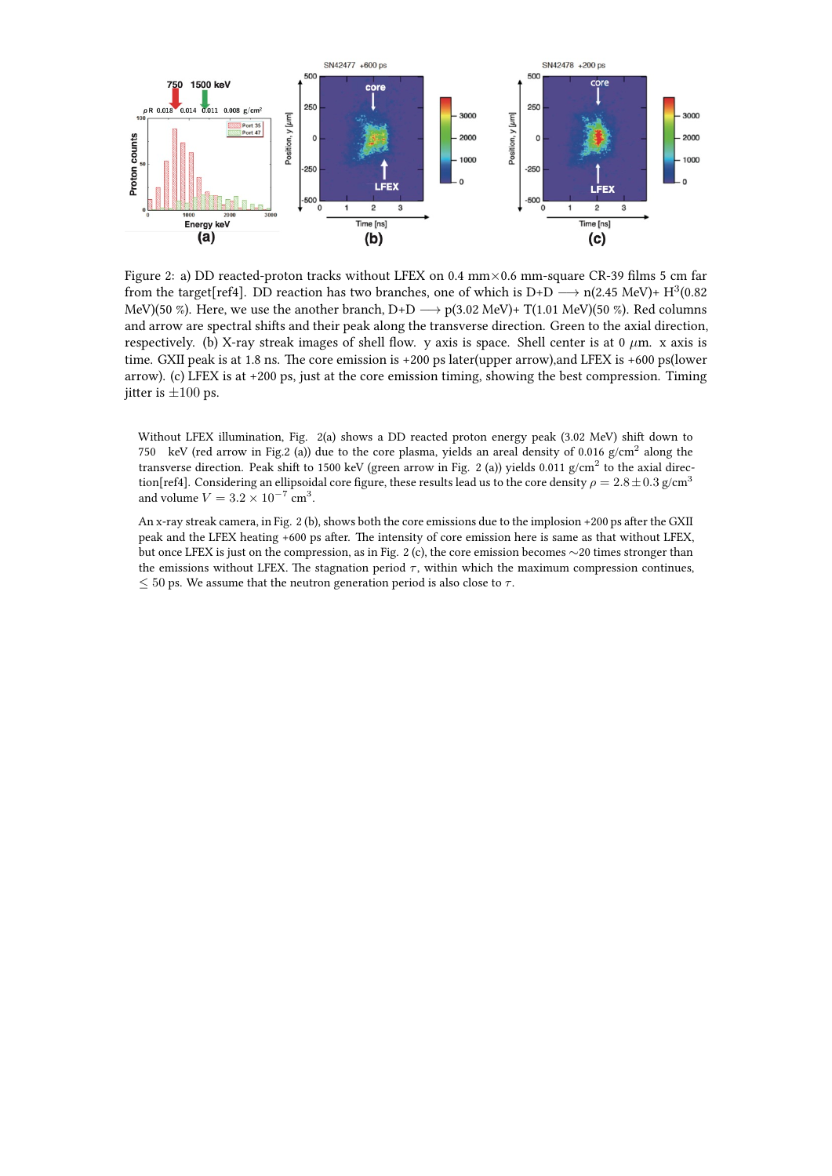

Figure 2: a) DD reacted-proton tracks without LFEX on 0.4 mm*×*0.6 mm-square CR-39 films 5 cm far from the target[ref4]. DD reaction has two branches, one of which is D+D  $\longrightarrow$  n(2.45 MeV)+ H<sup>3</sup>(0.82) MeV)(50 %). Here, we use the another branch, D+D *−→* p(3.02 MeV)+ T(1.01 MeV)(50 %). Red columns and arrow are spectral shifts and their peak along the transverse direction. Green to the axial direction, respectively. (b) X-ray streak images of shell flow. y axis is space. Shell center is at 0 *µ*m. x axis is time. GXII peak is at 1.8 ns. The core emission is +200 ps later(upper arrow),and LFEX is +600 ps(lower arrow). (c) LFEX is at +200 ps, just at the core emission timing, showing the best compression. Timing iitter is  $\pm 100$  ps.

Without LFEX illumination, Fig. 2(a) shows a DD reacted proton energy peak (3.02 MeV) shift down to 750 keV (red arrow in Fig.2 (a)) due to the core plasma, yields an areal density of 0.016  $g/cm<sup>2</sup>$  along the transverse direction. Peak shift to 1500 keV (green arrow in Fig. 2 (a)) yields 0.011 g/cm<sup>2</sup> to the axial direction[ref4]. Considering an ellipsoidal core figure, these results lead us to the core density  $\rho = 2.8 \pm 0.3$  g/cm<sup>3</sup> and volume  $V = 3.2 \times 10^{-7} \text{ cm}^3$ .

An x-ray streak camera, in Fig. 2 (b), shows both the core emissions due to the implosion +200 ps after the GXII peak and the LFEX heating +600 ps after. The intensity of core emission here is same as that without LFEX, but once LFEX is just on the compression, as in Fig. 2 (c), the core emission becomes *∼*20 times stronger than the emissions without LFEX. The stagnation period  $\tau$ , within which the maximum compression continues, *≤* 50 ps. We assume that the neutron generation period is also close to *τ* .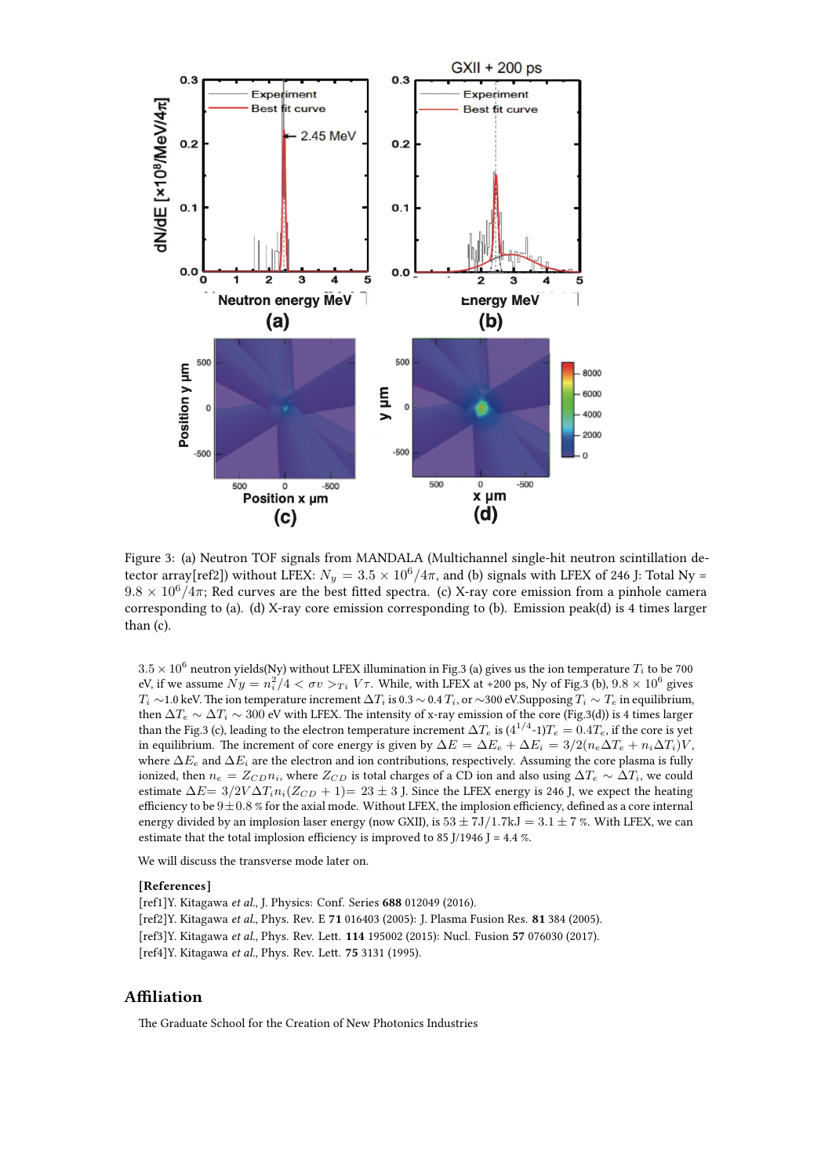

Figure 3: (a) Neutron TOF signals from MANDALA (Multichannel single-hit neutron scintillation detector array[ref2]) without LFEX:  $N_y = 3.5 \times 10^6 / 4\pi$ , and (b) signals with LFEX of 246 J: Total Ny =  $9.8 \times 10^6 / 4\pi$ ; Red curves are the best fitted spectra. (c) X-ray core emission from a pinhole camera corresponding to (a). (d) X-ray core emission corresponding to (b). Emission peak(d) is 4 times larger than (c).

 $3.5 \times 10^6$  neutron yields(Ny) without LFEX illumination in Fig.3 (a) gives us the ion temperature  $T_i$  to be 700 eV, if we assume  $Ny = n_i^2/4 < \sigma v >_{Ti} V\tau$ . While, with LFEX at +200 ps, Ny of Fig.3 (b),  $9.8 \times 10^6$  gives *T*<sub>*i*</sub>  $\sim$  1.0 keV. The ion temperature increment  $\Delta T_i$  is 0.3  $\sim$  0.4  $T_i$ , or  $\sim$ 300 eV.Supposing  $T_i \sim T_e$  in equilibrium, then  $\Delta T_e \sim \Delta T_i \sim 300$  eV with LFEX. The intensity of x-ray emission of the core (Fig.3(d)) is 4 times larger than the Fig.3 (c), leading to the electron temperature increment  $\Delta T_e$  is (4 $^{1/4}$ -1) $T_e=0.4T_e$ , if the core is yet in equilibrium. The increment of core energy is given by  $\Delta E = \Delta E_e + \Delta E_i = 3/2(n_e\Delta T_e + n_i\Delta T_i)V$ , where ∆*E<sup>e</sup>* and ∆*E<sup>i</sup>* are the electron and ion contributions, respectively. Assuming the core plasma is fully ionized, then  $n_e = Z_{CD}n_i$ , where  $Z_{CD}$  is total charges of a CD ion and also using  $\Delta T_e \sim \Delta T_i$ , we could estimate  $\Delta E = 3/2V \Delta T_i n_i (Z_{CD} + 1) = 23 \pm 3$  J. Since the LFEX energy is 246 J, we expect the heating efficiency to be 9*±*0*.*8 % for the axial mode. Without LFEX, the implosion efficiency, defined as a core internal energy divided by an implosion laser energy (now GXII), is  $53 \pm 7J/1.7$ kJ =  $3.1 \pm 7$  %. With LFEX, we can estimate that the total implosion efficiency is improved to 85 J/1946 J = 4.4 %.

We will discuss the transverse mode later on.

## **[References]**

[ref1]Y. Kitagawa *et al.*, J. Physics: Conf. Series **688** 012049 (2016). [ref2]Y. Kitagawa *et al.*, Phys. Rev. E **71** 016403 (2005): J. Plasma Fusion Res. **81** 384 (2005). [ref3]Y. Kitagawa *et al.*, Phys. Rev. Lett. **114** 195002 (2015): Nucl. Fusion **57** 076030 (2017). [ref4]Y. Kitagawa *et al.*, Phys. Rev. Lett. **75** 3131 (1995).

## **Affiliation**

The Graduate School for the Creation of New Photonics Industries